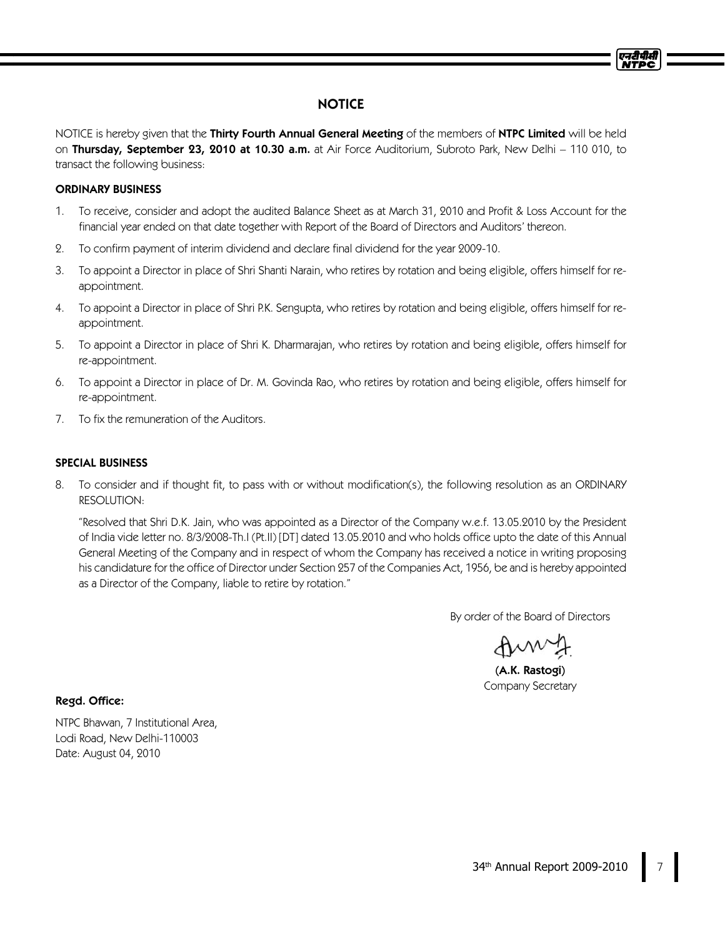# **NOTICE**

NOTICE is hereby given that the Thirty Fourth Annual General Meeting of the members of NTPC Limited will be held on Thursday, September 23, 2010 at 10.30 a.m. at Air Force Auditorium, Subroto Park, New Delhi - 110 010, to transact the following business:

## ORDINARY BUSINESS

- 1. To receive, consider and adopt the audited Balance Sheet as at March 31, 2010 and Profit & Loss Account for the financial year ended on that date together with Report of the Board of Directors and Auditors' thereon.
- 2. To confirm payment of interim dividend and declare final dividend for the year 2009-10.
- 3. To appoint a Director in place of Shri Shanti Narain, who retires by rotation and being eligible, offers himself for reappointment.
- 4. To appoint a Director in place of Shri P.K. Sengupta, who retires by rotation and being eligible, offers himself for reappointment.
- 5. To appoint a Director in place of Shri K. Dharmarajan, who retires by rotation and being eligible, offers himself for re-appointment.
- 6. To appoint a Director in place of Dr. M. Govinda Rao, who retires by rotation and being eligible, offers himself for re-appointment.
- 7. To fix the remuneration of the Auditors.

## SPECIAL BUSINESS

8. To consider and if thought fit, to pass with or without modification(s), the following resolution as an ORDINARY RESOLUTION:

"Resolved that Shri D.K. Jain, who was appointed as a Director of the Company w.e.f. 13.05.2010 by the President of India vide letter no. 8/3/2008-Th.I (Pt.II) [DT] dated 13.05.2010 and who holds office upto the date of this Annual General Meeting of the Company and in respect of whom the Company has received a notice in writing proposing his candidature for the office of Director under Section 257 of the Companies Act, 1956, be and is hereby appointed as a Director of the Company, liable to retire by rotation."

By order of the Board of Directors

(A.K. Rastogi) Company Secretary

Regd. Office:

NTPC Bhawan, 7 Institutional Area, Lodi Road, New Delhi-110003 Date: August 04, 2010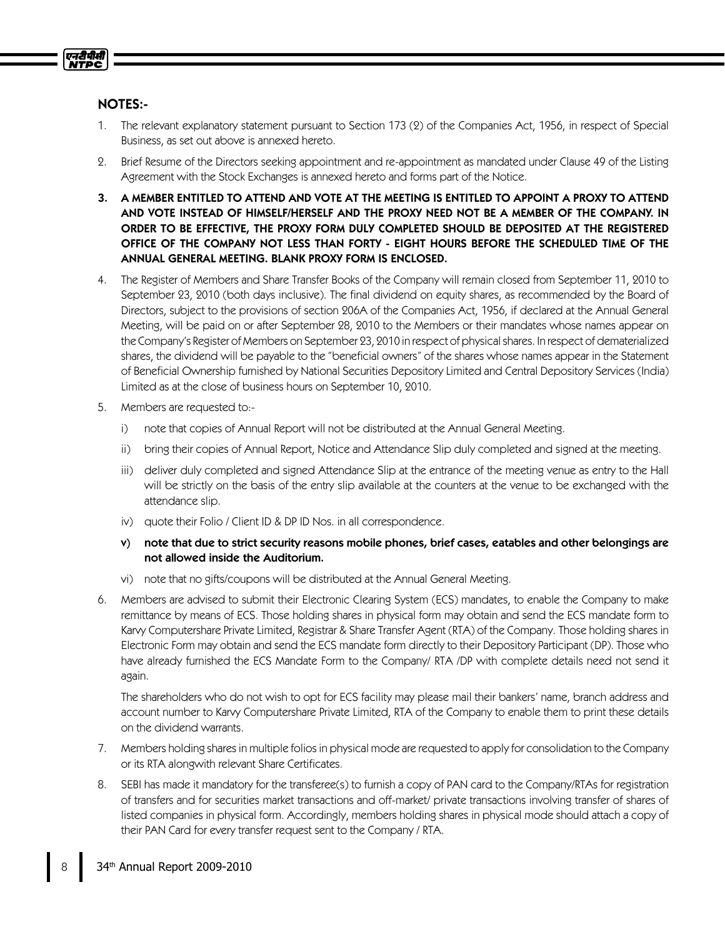

# NOTES:-

- 1. The relevant explanatory statement pursuant to Section 173 (2) of the Companies Act, 1956, in respect of Special Business, as set out above is annexed hereto.
- 2. Brief Resume of the Directors seeking appointment and re-appointment as mandated under Clause 49 of the Listing Agreement with the Stock Exchanges is annexed hereto and forms part of the Notice.
- 3. A MEMBER ENTITLED TO ATTEND AND VOTE AT THE MEETING IS ENTITLED TO APPOINT A PROXY TO ATTEND AND VOTE INSTEAD OF HIMSELF/HERSELF AND THE PROXY NEED NOT BE A MEMBER OF THE COMPANY. IN ORDER TO BE EFFECTIVE, THE PROXY FORM DULY COMPLETED SHOULD BE DEPOSITED AT THE REGISTERED OFFICE OF THE COMPANY NOT LESS THAN FORTY - EIGHT HOURS BEFORE THE SCHEDULED TIME OF THE ANNUAL GENERAL MEETING. BLANK PROXY FORM IS ENCLOSED.
- 4. The Register of Members and Share Transfer Books of the Company will remain closed from September 11, 2010 to September 23, 2010 (both days inclusive). The final dividend on equity shares, as recommended by the Board of Directors, subject to the provisions of section 206A of the Companies Act, 1956, if declared at the Annual General Meeting, will be paid on or after September 28, 2010 to the Members or their mandates whose names appear on the Company's Register of Members on September 23, 2010 in respect of physicalshares. In respect of dematerialized shares, the dividend will be payable to the "beneficial owners" of the shares whose names appear in the Statement of Beneficial Ownership furnished by National Securities Depository Limited and Central Depository Services (India) Limited as at the close of business hours on September 10, 2010.
- 5. Members are requested to:
	- i) note that copies of Annual Report will not be distributed at the Annual General Meeting.
	- ii) bring their copies of Annual Report, Notice and Attendance Slip duly completed and signed at the meeting.
	- iii) deliver duly completed and signed Attendance Slip at the entrance of the meeting venue as entry to the Hall will be strictly on the basis of the entry slip available at the counters at the venue to be exchanged with the attendance slip.
	- iv) quote their Folio / Client ID & DP ID Nos. in all correspondence.
	- v) note that due to strict security reasons mobile phones, brief cases, eatables and other belongings are not allowed inside the Auditorium.
	- vi) note that no gifts/coupons will be distributed at the Annual General Meeting.
- 6. Members are advised to submit their Electronic Clearing System (ECS) mandates, to enable the Company to make remittance by means of ECS. Those holding shares in physical form may obtain and send the ECS mandate form to Karvy Computershare Private Limited, Registrar & Share Transfer Agent (RTA) of the Company. Those holding shares in Electronic Form may obtain and send the ECS mandate form directly to their Depository Participant (DP). Those who have already furnished the ECS Mandate Form to the Company/ RTA /DP with complete details need not send it again.

The shareholders who do not wish to opt for ECS facility may please mail their bankers' name, branch address and account number to Karvy Computershare Private Limited, RTA of the Company to enable them to print these details on the dividend warrants.

- 7. Members holding sharesin multiple foliosin physical mode are requested to apply for consolidation to the Company or its RTA alongwith relevant Share Certificates.
- 8. SEBI has made it mandatory for the transferee(s) to furnish a copy of PAN card to the Company/RTAs for registration of transfers and for securities market transactions and off-market/ private transactions involving transfer of shares of listed companies in physical form. Accordingly, members holding shares in physical mode should attach a copy of their PAN Card for every transfer request sent to the Company / RTA.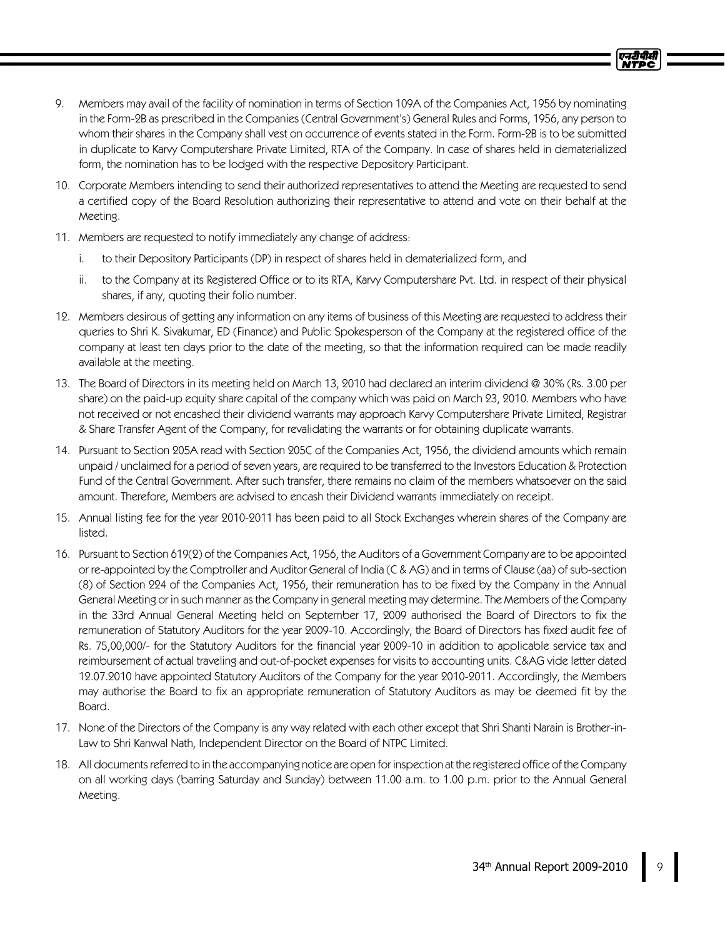- 9. Members may avail of the facility of nomination in terms of Section 109A of the Companies Act, 1956 by nominating in the Form-2B as prescribed in the Companies (Central Government's) General Rules and Forms, 1956, any person to whom their shares in the Company shall vest on occurrence of events stated in the Form. Form-2B is to be submitted in duplicate to Karvy Computershare Private Limited, RTA of the Company. In case of shares held in dematerialized form, the nomination has to be lodged with the respective Depository Participant.
- 10. Corporate Members intending to send their authorized representatives to attend the Meeting are requested to send a certified copy of the Board Resolution authorizing their representative to attend and vote on their behalf at the Meeting.
- 11. Members are requested to notify immediately any change of address:
	- i. to their Depository Participants (DP) in respect of shares held in dematerialized form, and
	- ii. to the Company at its Registered Office or to its RTA, Karvy Computershare Pvt. Ltd. in respect of their physical shares, if any, quoting their folio number.
- 12. Members desirous of getting any information on any items of business of this Meeting are requested to address their queries to Shri K. Sivakumar, ED (Finance) and Public Spokesperson of the Company at the registered office of the company at least ten days prior to the date of the meeting, so that the information required can be made readily available at the meeting.
- 13. The Board of Directors in its meeting held on March 13, 2010 had declared an interim dividend @ 30% (Rs. 3.00 per share) on the paid-up equity share capital of the company which was paid on March 23, 2010. Members who have not received or not encashed their dividend warrants may approach Karvy Computershare Private Limited, Registrar & Share Transfer Agent of the Company, for revalidating the warrants or for obtaining duplicate warrants.
- 14. Pursuant to Section 205A read with Section 205C of the Companies Act, 1956, the dividend amounts which remain unpaid / unclaimed for a period of seven years, are required to be transferred to the Investors Education & Protection Fund of the Central Government. After such transfer, there remains no claim of the members whatsoever on the said amount. Therefore, Members are advised to encash their Dividend warrants immediately on receipt.
- 15. Annual listing fee for the year 2010-2011 has been paid to all Stock Exchanges wherein shares of the Company are listed.
- 16. Pursuant to Section 619(2) of the Companies Act, 1956, the Auditors of a Government Company are to be appointed or re-appointed by the Comptroller and Auditor General of India (C & AG) and in terms of Clause (aa) of sub-section (8) of Section 224 of the Companies Act, 1956, their remuneration has to be fixed by the Company in the Annual General Meeting or in such manner asthe Company in general meeting may determine. The Members of the Company in the 33rd Annual General Meeting held on September 17, 2009 authorised the Board of Directors to fix the remuneration of Statutory Auditors for the year 2009-10. Accordingly, the Board of Directors has fixed audit fee of Rs. 75,00,000/- for the Statutory Auditors for the financial year 2009-10 in addition to applicable service tax and reimbursement of actual traveling and out-of-pocket expenses for visits to accounting units. C&AG vide letter dated 12.07.2010 have appointed Statutory Auditors of the Company for the year 2010-2011. Accordingly, the Members may authorise the Board to fix an appropriate remuneration of Statutory Auditors as may be deemed fit by the Board.
- 17. None of the Directors of the Company is any way related with each other except that Shri Shanti Narain is Brother-in-Law to Shri Kanwal Nath, Independent Director on the Board of NTPC Limited.
- 18. All documentsreferred to in the accompanying notice are open for inspection at the registered office of the Company on all working days (barring Saturday and Sunday) between 11.00 a.m. to 1.00 p.m. prior to the Annual General Meeting.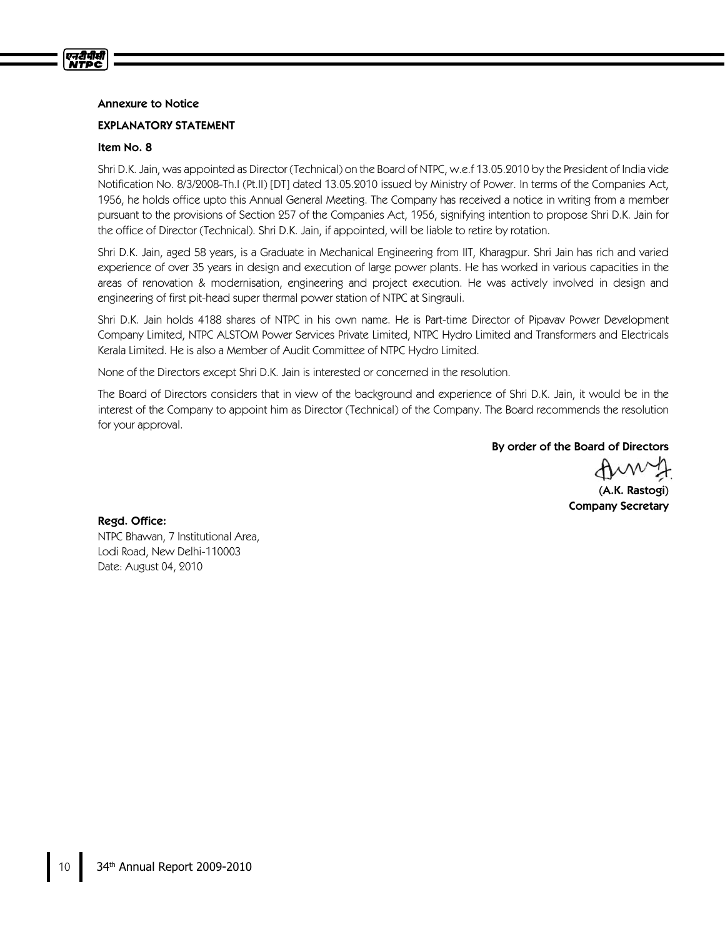### Annexure to Notice

### EXPLANATORY STATEMENT

#### Item No. 8

एनदीपीसी **NTPC** 

> Shri D.K. Jain, was appointed as Director (Technical) on the Board of NTPC, w.e.f 13.05.2010 by the President of India vide Notification No. 8/3/2008-Th.I (Pt.II) [DT] dated 13.05.2010 issued by Ministry of Power. In terms of the Companies Act, 1956, he holds office upto this Annual General Meeting. The Company has received a notice in writing from a member pursuant to the provisions of Section 257 of the Companies Act, 1956, signifying intention to propose Shri D.K. Jain for the office of Director (Technical). Shri D.K. Jain, if appointed, will be liable to retire by rotation.

> Shri D.K. Jain, aged 58 years, is a Graduate in Mechanical Engineering from IIT, Kharagpur. Shri Jain has rich and varied experience of over 35 years in design and execution of large power plants. He has worked in various capacities in the areas of renovation & modernisation, engineering and project execution. He was actively involved in design and engineering of first pit-head super thermal power station of NTPC at Singrauli.

> Shri D.K. Jain holds 4188 shares of NTPC in his own name. He is Part-time Director of Pipavav Power Development Company Limited, NTPC ALSTOM Power Services Private Limited, NTPC Hydro Limited and Transformers and Electricals Kerala Limited. He is also a Member of Audit Committee of NTPC Hydro Limited.

None of the Directors except Shri D.K. Jain is interested or concerned in the resolution.

The Board of Directors considers that in view of the background and experience of Shri D.K. Jain, it would be in the interest of the Company to appoint him as Director (Technical) of the Company. The Board recommends the resolution for your approval.

By order of the Board of Directors

(A.K. Rastogi) Company Secretary

Regd. Office: NTPC Bhawan, 7 Institutional Area, Lodi Road, New Delhi-110003 Date: August 04, 2010